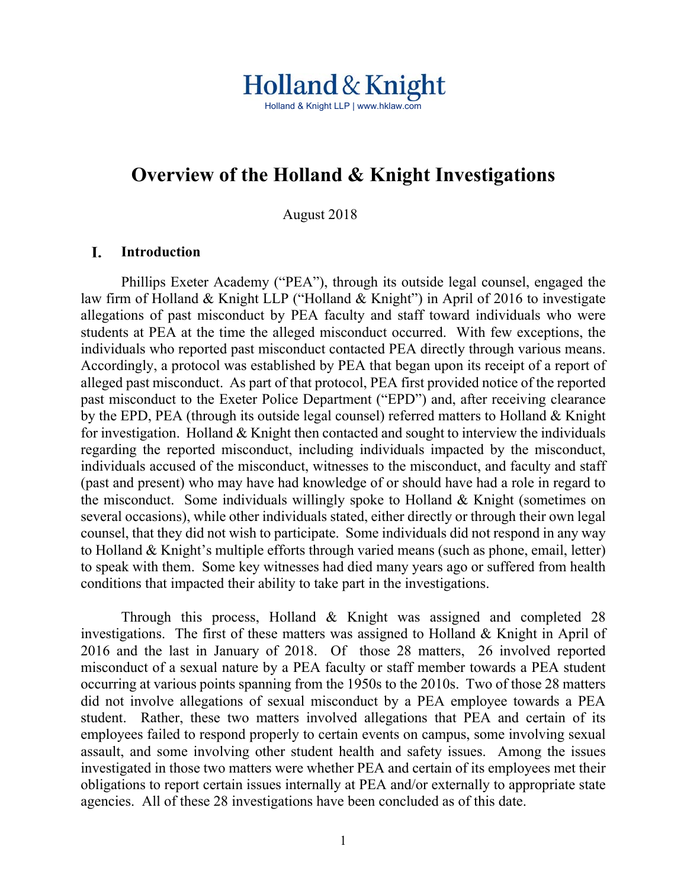# Holland & Knight Holland & Knight LLP | www.hklaw.com

# **Overview of the Holland & Knight Investigations**

August 2018

#### I. **Introduction**

 Phillips Exeter Academy ("PEA"), through its outside legal counsel, engaged the law firm of Holland & Knight LLP ("Holland & Knight") in April of 2016 to investigate allegations of past misconduct by PEA faculty and staff toward individuals who were students at PEA at the time the alleged misconduct occurred. With few exceptions, the individuals who reported past misconduct contacted PEA directly through various means. Accordingly, a protocol was established by PEA that began upon its receipt of a report of alleged past misconduct. As part of that protocol, PEA first provided notice of the reported past misconduct to the Exeter Police Department ("EPD") and, after receiving clearance by the EPD, PEA (through its outside legal counsel) referred matters to Holland & Knight for investigation. Holland  $&$  Knight then contacted and sought to interview the individuals regarding the reported misconduct, including individuals impacted by the misconduct, individuals accused of the misconduct, witnesses to the misconduct, and faculty and staff (past and present) who may have had knowledge of or should have had a role in regard to the misconduct. Some individuals willingly spoke to Holland & Knight (sometimes on several occasions), while other individuals stated, either directly or through their own legal counsel, that they did not wish to participate. Some individuals did not respond in any way to Holland & Knight's multiple efforts through varied means (such as phone, email, letter) to speak with them. Some key witnesses had died many years ago or suffered from health conditions that impacted their ability to take part in the investigations.

Through this process, Holland & Knight was assigned and completed 28 investigations. The first of these matters was assigned to Holland & Knight in April of 2016 and the last in January of 2018. Of those 28 matters, 26 involved reported misconduct of a sexual nature by a PEA faculty or staff member towards a PEA student occurring at various points spanning from the 1950s to the 2010s. Two of those 28 matters did not involve allegations of sexual misconduct by a PEA employee towards a PEA student. Rather, these two matters involved allegations that PEA and certain of its employees failed to respond properly to certain events on campus, some involving sexual assault, and some involving other student health and safety issues. Among the issues investigated in those two matters were whether PEA and certain of its employees met their obligations to report certain issues internally at PEA and/or externally to appropriate state agencies. All of these 28 investigations have been concluded as of this date.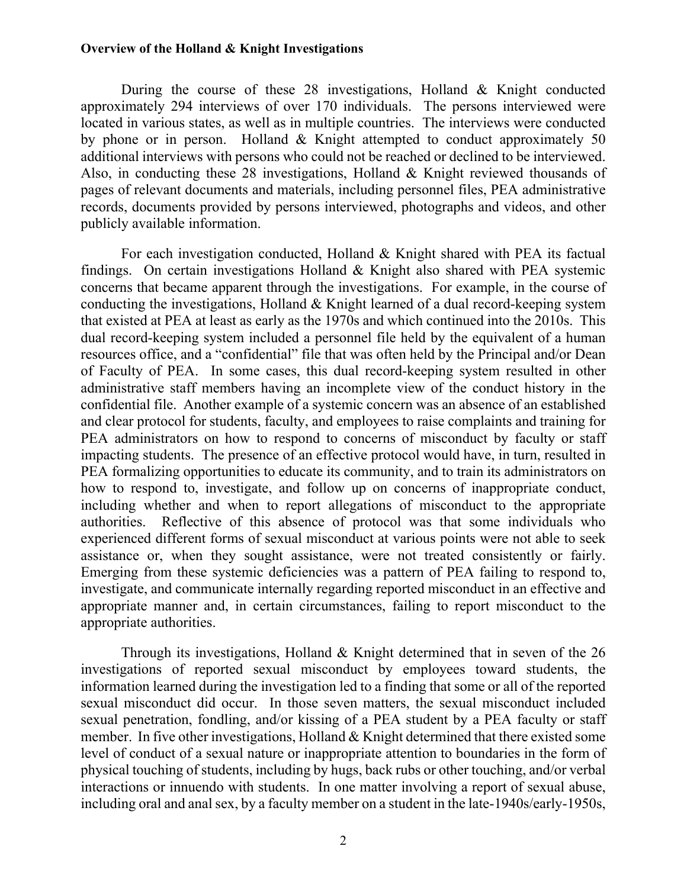During the course of these 28 investigations, Holland & Knight conducted approximately 294 interviews of over 170 individuals. The persons interviewed were located in various states, as well as in multiple countries. The interviews were conducted by phone or in person. Holland & Knight attempted to conduct approximately 50 additional interviews with persons who could not be reached or declined to be interviewed. Also, in conducting these 28 investigations, Holland & Knight reviewed thousands of pages of relevant documents and materials, including personnel files, PEA administrative records, documents provided by persons interviewed, photographs and videos, and other publicly available information.

For each investigation conducted, Holland & Knight shared with PEA its factual findings. On certain investigations Holland & Knight also shared with PEA systemic concerns that became apparent through the investigations. For example, in the course of conducting the investigations, Holland & Knight learned of a dual record-keeping system that existed at PEA at least as early as the 1970s and which continued into the 2010s. This dual record-keeping system included a personnel file held by the equivalent of a human resources office, and a "confidential" file that was often held by the Principal and/or Dean of Faculty of PEA. In some cases, this dual record-keeping system resulted in other administrative staff members having an incomplete view of the conduct history in the confidential file. Another example of a systemic concern was an absence of an established and clear protocol for students, faculty, and employees to raise complaints and training for PEA administrators on how to respond to concerns of misconduct by faculty or staff impacting students. The presence of an effective protocol would have, in turn, resulted in PEA formalizing opportunities to educate its community, and to train its administrators on how to respond to, investigate, and follow up on concerns of inappropriate conduct, including whether and when to report allegations of misconduct to the appropriate authorities. Reflective of this absence of protocol was that some individuals who experienced different forms of sexual misconduct at various points were not able to seek assistance or, when they sought assistance, were not treated consistently or fairly. Emerging from these systemic deficiencies was a pattern of PEA failing to respond to, investigate, and communicate internally regarding reported misconduct in an effective and appropriate manner and, in certain circumstances, failing to report misconduct to the appropriate authorities.

Through its investigations, Holland & Knight determined that in seven of the 26 investigations of reported sexual misconduct by employees toward students, the information learned during the investigation led to a finding that some or all of the reported sexual misconduct did occur. In those seven matters, the sexual misconduct included sexual penetration, fondling, and/or kissing of a PEA student by a PEA faculty or staff member. In five other investigations, Holland & Knight determined that there existed some level of conduct of a sexual nature or inappropriate attention to boundaries in the form of physical touching of students, including by hugs, back rubs or other touching, and/or verbal interactions or innuendo with students. In one matter involving a report of sexual abuse, including oral and anal sex, by a faculty member on a student in the late-1940s/early-1950s,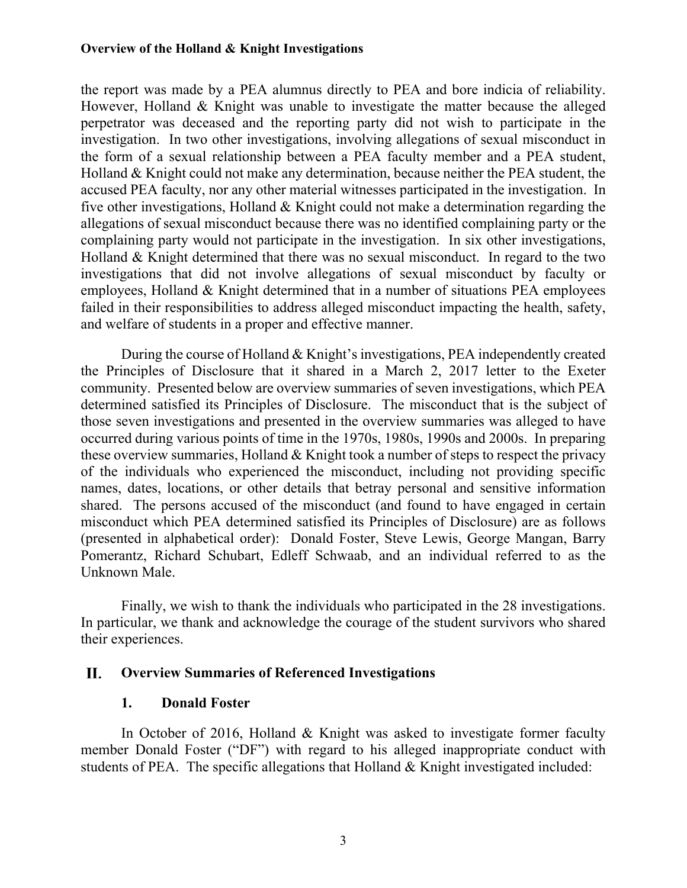the report was made by a PEA alumnus directly to PEA and bore indicia of reliability. However, Holland & Knight was unable to investigate the matter because the alleged perpetrator was deceased and the reporting party did not wish to participate in the investigation. In two other investigations, involving allegations of sexual misconduct in the form of a sexual relationship between a PEA faculty member and a PEA student, Holland & Knight could not make any determination, because neither the PEA student, the accused PEA faculty, nor any other material witnesses participated in the investigation. In five other investigations, Holland & Knight could not make a determination regarding the allegations of sexual misconduct because there was no identified complaining party or the complaining party would not participate in the investigation. In six other investigations, Holland & Knight determined that there was no sexual misconduct. In regard to the two investigations that did not involve allegations of sexual misconduct by faculty or employees, Holland & Knight determined that in a number of situations PEA employees failed in their responsibilities to address alleged misconduct impacting the health, safety, and welfare of students in a proper and effective manner.

During the course of Holland & Knight's investigations, PEA independently created the Principles of Disclosure that it shared in a March 2, 2017 letter to the Exeter community. Presented below are overview summaries of seven investigations, which PEA determined satisfied its Principles of Disclosure. The misconduct that is the subject of those seven investigations and presented in the overview summaries was alleged to have occurred during various points of time in the 1970s, 1980s, 1990s and 2000s. In preparing these overview summaries, Holland & Knight took a number of steps to respect the privacy of the individuals who experienced the misconduct, including not providing specific names, dates, locations, or other details that betray personal and sensitive information shared. The persons accused of the misconduct (and found to have engaged in certain misconduct which PEA determined satisfied its Principles of Disclosure) are as follows (presented in alphabetical order): Donald Foster, Steve Lewis, George Mangan, Barry Pomerantz, Richard Schubart, Edleff Schwaab, and an individual referred to as the Unknown Male.

Finally, we wish to thank the individuals who participated in the 28 investigations. In particular, we thank and acknowledge the courage of the student survivors who shared their experiences.

#### II. **Overview Summaries of Referenced Investigations**

## **1. Donald Foster**

In October of 2016, Holland & Knight was asked to investigate former faculty member Donald Foster ("DF") with regard to his alleged inappropriate conduct with students of PEA. The specific allegations that Holland & Knight investigated included: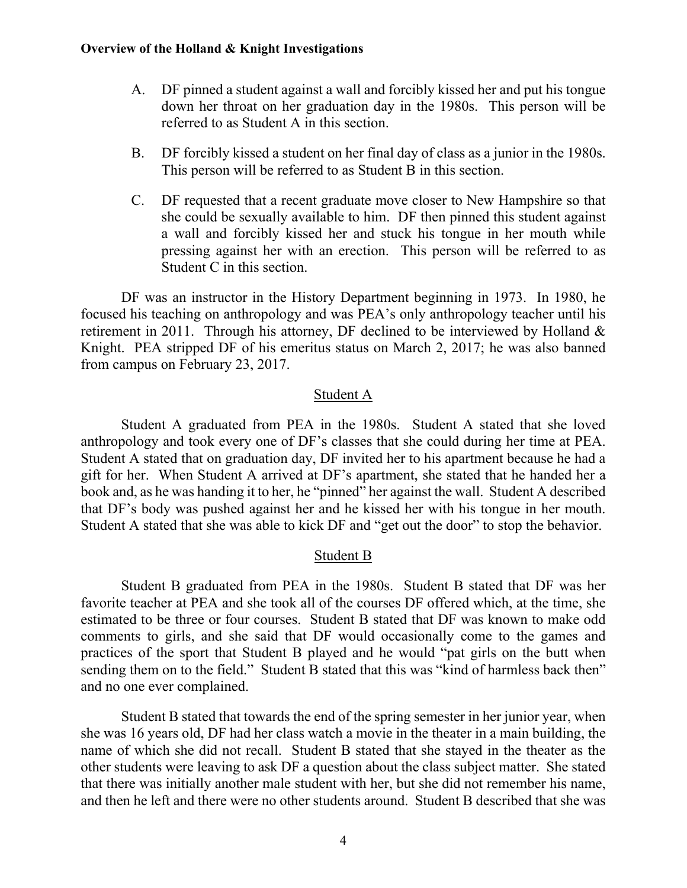- A. DF pinned a student against a wall and forcibly kissed her and put his tongue down her throat on her graduation day in the 1980s. This person will be referred to as Student A in this section.
- B. DF forcibly kissed a student on her final day of class as a junior in the 1980s. This person will be referred to as Student B in this section.
- C. DF requested that a recent graduate move closer to New Hampshire so that she could be sexually available to him. DF then pinned this student against a wall and forcibly kissed her and stuck his tongue in her mouth while pressing against her with an erection. This person will be referred to as Student C in this section.

DF was an instructor in the History Department beginning in 1973. In 1980, he focused his teaching on anthropology and was PEA's only anthropology teacher until his retirement in 2011. Through his attorney, DF declined to be interviewed by Holland  $\&$ Knight. PEA stripped DF of his emeritus status on March 2, 2017; he was also banned from campus on February 23, 2017.

### Student A

Student A graduated from PEA in the 1980s. Student A stated that she loved anthropology and took every one of DF's classes that she could during her time at PEA. Student A stated that on graduation day, DF invited her to his apartment because he had a gift for her. When Student A arrived at DF's apartment, she stated that he handed her a book and, as he was handing it to her, he "pinned" her against the wall. Student A described that DF's body was pushed against her and he kissed her with his tongue in her mouth. Student A stated that she was able to kick DF and "get out the door" to stop the behavior.

## Student B

Student B graduated from PEA in the 1980s. Student B stated that DF was her favorite teacher at PEA and she took all of the courses DF offered which, at the time, she estimated to be three or four courses. Student B stated that DF was known to make odd comments to girls, and she said that DF would occasionally come to the games and practices of the sport that Student B played and he would "pat girls on the butt when sending them on to the field." Student B stated that this was "kind of harmless back then" and no one ever complained.

Student B stated that towards the end of the spring semester in her junior year, when she was 16 years old, DF had her class watch a movie in the theater in a main building, the name of which she did not recall. Student B stated that she stayed in the theater as the other students were leaving to ask DF a question about the class subject matter. She stated that there was initially another male student with her, but she did not remember his name, and then he left and there were no other students around. Student B described that she was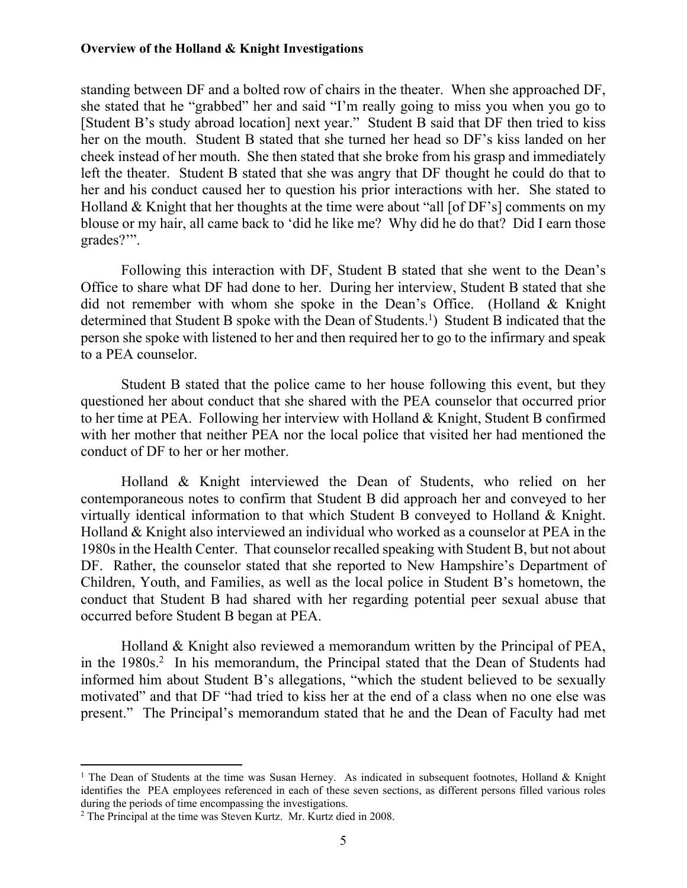standing between DF and a bolted row of chairs in the theater. When she approached DF, she stated that he "grabbed" her and said "I'm really going to miss you when you go to [Student B's study abroad location] next year." Student B said that DF then tried to kiss her on the mouth. Student B stated that she turned her head so DF's kiss landed on her cheek instead of her mouth. She then stated that she broke from his grasp and immediately left the theater. Student B stated that she was angry that DF thought he could do that to her and his conduct caused her to question his prior interactions with her. She stated to Holland & Knight that her thoughts at the time were about "all [of DF's] comments on my blouse or my hair, all came back to 'did he like me? Why did he do that? Did I earn those grades?'".

Following this interaction with DF, Student B stated that she went to the Dean's Office to share what DF had done to her. During her interview, Student B stated that she did not remember with whom she spoke in the Dean's Office. (Holland & Knight determined that Student B spoke with the Dean of Students.<sup>1</sup>) Student B indicated that the person she spoke with listened to her and then required her to go to the infirmary and speak to a PEA counselor.

Student B stated that the police came to her house following this event, but they questioned her about conduct that she shared with the PEA counselor that occurred prior to her time at PEA. Following her interview with Holland & Knight, Student B confirmed with her mother that neither PEA nor the local police that visited her had mentioned the conduct of DF to her or her mother.

Holland & Knight interviewed the Dean of Students, who relied on her contemporaneous notes to confirm that Student B did approach her and conveyed to her virtually identical information to that which Student B conveyed to Holland & Knight. Holland & Knight also interviewed an individual who worked as a counselor at PEA in the 1980s in the Health Center. That counselor recalled speaking with Student B, but not about DF. Rather, the counselor stated that she reported to New Hampshire's Department of Children, Youth, and Families, as well as the local police in Student B's hometown, the conduct that Student B had shared with her regarding potential peer sexual abuse that occurred before Student B began at PEA.

Holland & Knight also reviewed a memorandum written by the Principal of PEA, in the 1980s.<sup>2</sup> In his memorandum, the Principal stated that the Dean of Students had informed him about Student B's allegations, "which the student believed to be sexually motivated" and that DF "had tried to kiss her at the end of a class when no one else was present." The Principal's memorandum stated that he and the Dean of Faculty had met

<sup>&</sup>lt;sup>1</sup> The Dean of Students at the time was Susan Herney. As indicated in subsequent footnotes, Holland & Knight identifies the PEA employees referenced in each of these seven sections, as different persons filled various roles during the periods of time encompassing the investigations.

<sup>2</sup> The Principal at the time was Steven Kurtz. Mr. Kurtz died in 2008.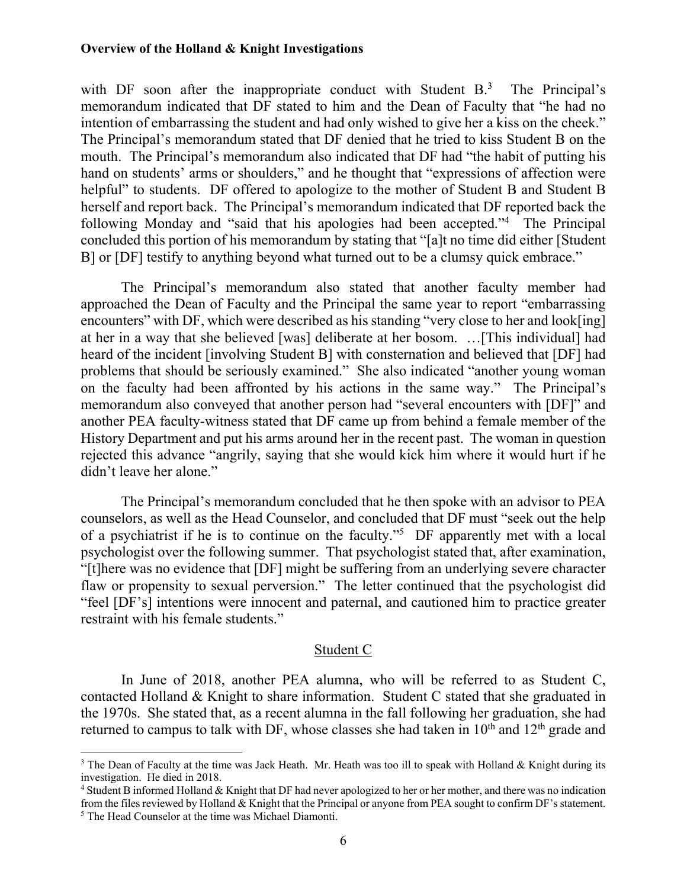with DF soon after the inappropriate conduct with Student  $B<sup>3</sup>$  The Principal's memorandum indicated that DF stated to him and the Dean of Faculty that "he had no intention of embarrassing the student and had only wished to give her a kiss on the cheek." The Principal's memorandum stated that DF denied that he tried to kiss Student B on the mouth. The Principal's memorandum also indicated that DF had "the habit of putting his hand on students' arms or shoulders," and he thought that "expressions of affection were helpful" to students. DF offered to apologize to the mother of Student B and Student B herself and report back. The Principal's memorandum indicated that DF reported back the following Monday and "said that his apologies had been accepted."<sup>4</sup> The Principal concluded this portion of his memorandum by stating that "[a]t no time did either [Student B] or [DF] testify to anything beyond what turned out to be a clumsy quick embrace."

The Principal's memorandum also stated that another faculty member had approached the Dean of Faculty and the Principal the same year to report "embarrassing encounters" with DF, which were described as his standing "very close to her and look[ing] at her in a way that she believed [was] deliberate at her bosom. …[This individual] had heard of the incident [involving Student B] with consternation and believed that [DF] had problems that should be seriously examined." She also indicated "another young woman on the faculty had been affronted by his actions in the same way." The Principal's memorandum also conveyed that another person had "several encounters with [DF]" and another PEA faculty-witness stated that DF came up from behind a female member of the History Department and put his arms around her in the recent past. The woman in question rejected this advance "angrily, saying that she would kick him where it would hurt if he didn't leave her alone."

The Principal's memorandum concluded that he then spoke with an advisor to PEA counselors, as well as the Head Counselor, and concluded that DF must "seek out the help of a psychiatrist if he is to continue on the faculty."<sup>5</sup> DF apparently met with a local psychologist over the following summer. That psychologist stated that, after examination, "[t]here was no evidence that [DF] might be suffering from an underlying severe character flaw or propensity to sexual perversion." The letter continued that the psychologist did "feel [DF's] intentions were innocent and paternal, and cautioned him to practice greater restraint with his female students."

#### Student C

In June of 2018, another PEA alumna, who will be referred to as Student C, contacted Holland & Knight to share information. Student C stated that she graduated in the 1970s. She stated that, as a recent alumna in the fall following her graduation, she had returned to campus to talk with DF, whose classes she had taken in  $10<sup>th</sup>$  and  $12<sup>th</sup>$  grade and

<sup>&</sup>lt;sup>3</sup> The Dean of Faculty at the time was Jack Heath. Mr. Heath was too ill to speak with Holland & Knight during its investigation. He died in 2018.

<sup>&</sup>lt;sup>4</sup> Student B informed Holland & Knight that DF had never apologized to her or her mother, and there was no indication from the files reviewed by Holland & Knight that the Principal or anyone from PEA sought to confirm DF's statement. <sup>5</sup> The Head Counselor at the time was Michael Diamonti.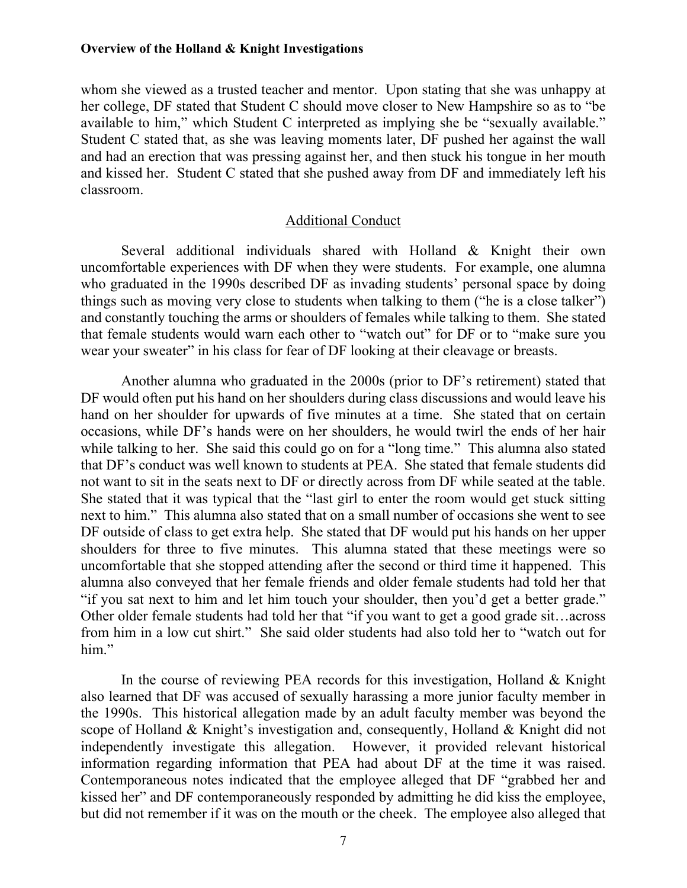whom she viewed as a trusted teacher and mentor. Upon stating that she was unhappy at her college, DF stated that Student C should move closer to New Hampshire so as to "be available to him," which Student C interpreted as implying she be "sexually available." Student C stated that, as she was leaving moments later, DF pushed her against the wall and had an erection that was pressing against her, and then stuck his tongue in her mouth and kissed her. Student C stated that she pushed away from DF and immediately left his classroom.

#### Additional Conduct

Several additional individuals shared with Holland & Knight their own uncomfortable experiences with DF when they were students. For example, one alumna who graduated in the 1990s described DF as invading students' personal space by doing things such as moving very close to students when talking to them ("he is a close talker") and constantly touching the arms or shoulders of females while talking to them. She stated that female students would warn each other to "watch out" for DF or to "make sure you wear your sweater" in his class for fear of DF looking at their cleavage or breasts.

Another alumna who graduated in the 2000s (prior to DF's retirement) stated that DF would often put his hand on her shoulders during class discussions and would leave his hand on her shoulder for upwards of five minutes at a time. She stated that on certain occasions, while DF's hands were on her shoulders, he would twirl the ends of her hair while talking to her. She said this could go on for a "long time." This alumna also stated that DF's conduct was well known to students at PEA. She stated that female students did not want to sit in the seats next to DF or directly across from DF while seated at the table. She stated that it was typical that the "last girl to enter the room would get stuck sitting next to him." This alumna also stated that on a small number of occasions she went to see DF outside of class to get extra help. She stated that DF would put his hands on her upper shoulders for three to five minutes. This alumna stated that these meetings were so uncomfortable that she stopped attending after the second or third time it happened. This alumna also conveyed that her female friends and older female students had told her that "if you sat next to him and let him touch your shoulder, then you'd get a better grade." Other older female students had told her that "if you want to get a good grade sit…across from him in a low cut shirt." She said older students had also told her to "watch out for him."

In the course of reviewing PEA records for this investigation, Holland & Knight also learned that DF was accused of sexually harassing a more junior faculty member in the 1990s. This historical allegation made by an adult faculty member was beyond the scope of Holland & Knight's investigation and, consequently, Holland & Knight did not independently investigate this allegation. However, it provided relevant historical information regarding information that PEA had about DF at the time it was raised. Contemporaneous notes indicated that the employee alleged that DF "grabbed her and kissed her" and DF contemporaneously responded by admitting he did kiss the employee, but did not remember if it was on the mouth or the cheek. The employee also alleged that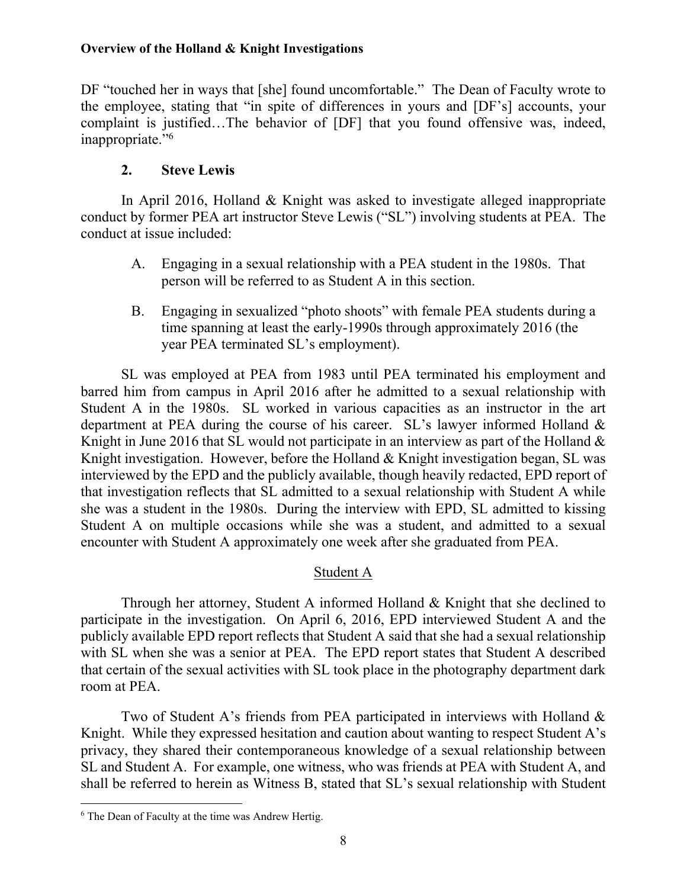DF "touched her in ways that [she] found uncomfortable." The Dean of Faculty wrote to the employee, stating that "in spite of differences in yours and [DF's] accounts, your complaint is justified…The behavior of [DF] that you found offensive was, indeed, inappropriate."6

## **2. Steve Lewis**

In April 2016, Holland & Knight was asked to investigate alleged inappropriate conduct by former PEA art instructor Steve Lewis ("SL") involving students at PEA. The conduct at issue included:

- A. Engaging in a sexual relationship with a PEA student in the 1980s. That person will be referred to as Student A in this section.
- B. Engaging in sexualized "photo shoots" with female PEA students during a time spanning at least the early-1990s through approximately 2016 (the year PEA terminated SL's employment).

SL was employed at PEA from 1983 until PEA terminated his employment and barred him from campus in April 2016 after he admitted to a sexual relationship with Student A in the 1980s. SL worked in various capacities as an instructor in the art department at PEA during the course of his career. SL's lawyer informed Holland & Knight in June 2016 that SL would not participate in an interview as part of the Holland  $\&$ Knight investigation. However, before the Holland & Knight investigation began, SL was interviewed by the EPD and the publicly available, though heavily redacted, EPD report of that investigation reflects that SL admitted to a sexual relationship with Student A while she was a student in the 1980s. During the interview with EPD, SL admitted to kissing Student A on multiple occasions while she was a student, and admitted to a sexual encounter with Student A approximately one week after she graduated from PEA.

## Student A

Through her attorney, Student A informed Holland & Knight that she declined to participate in the investigation. On April 6, 2016, EPD interviewed Student A and the publicly available EPD report reflects that Student A said that she had a sexual relationship with SL when she was a senior at PEA. The EPD report states that Student A described that certain of the sexual activities with SL took place in the photography department dark room at PEA.

Two of Student A's friends from PEA participated in interviews with Holland & Knight. While they expressed hesitation and caution about wanting to respect Student A's privacy, they shared their contemporaneous knowledge of a sexual relationship between SL and Student A. For example, one witness, who was friends at PEA with Student A, and shall be referred to herein as Witness B, stated that SL's sexual relationship with Student

<sup>6</sup> The Dean of Faculty at the time was Andrew Hertig.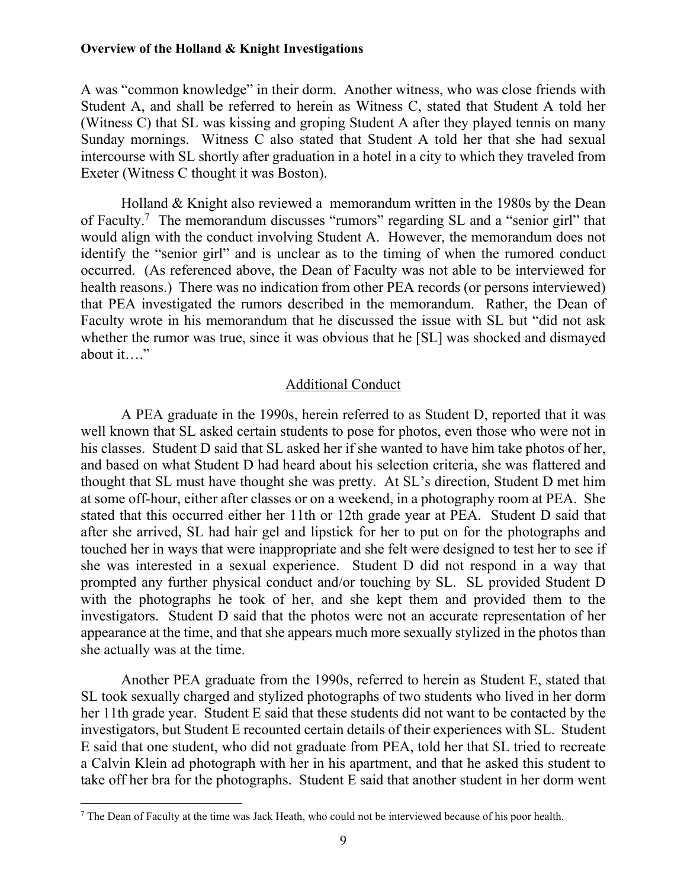A was "common knowledge" in their dorm. Another witness, who was close friends with Student A, and shall be referred to herein as Witness C, stated that Student A told her (Witness C) that SL was kissing and groping Student A after they played tennis on many Sunday mornings. Witness C also stated that Student A told her that she had sexual intercourse with SL shortly after graduation in a hotel in a city to which they traveled from Exeter (Witness C thought it was Boston).

Holland & Knight also reviewed a memorandum written in the 1980s by the Dean of Faculty.<sup>7</sup> The memorandum discusses "rumors" regarding SL and a "senior girl" that would align with the conduct involving Student A. However, the memorandum does not identify the "senior girl" and is unclear as to the timing of when the rumored conduct occurred. (As referenced above, the Dean of Faculty was not able to be interviewed for health reasons.) There was no indication from other PEA records (or persons interviewed) that PEA investigated the rumors described in the memorandum. Rather, the Dean of Faculty wrote in his memorandum that he discussed the issue with SL but "did not ask whether the rumor was true, since it was obvious that he [SL] was shocked and dismayed about it…."

#### Additional Conduct

A PEA graduate in the 1990s, herein referred to as Student D, reported that it was well known that SL asked certain students to pose for photos, even those who were not in his classes. Student D said that SL asked her if she wanted to have him take photos of her, and based on what Student D had heard about his selection criteria, she was flattered and thought that SL must have thought she was pretty. At SL's direction, Student D met him at some off-hour, either after classes or on a weekend, in a photography room at PEA. She stated that this occurred either her 11th or 12th grade year at PEA. Student D said that after she arrived, SL had hair gel and lipstick for her to put on for the photographs and touched her in ways that were inappropriate and she felt were designed to test her to see if she was interested in a sexual experience. Student D did not respond in a way that prompted any further physical conduct and/or touching by SL. SL provided Student D with the photographs he took of her, and she kept them and provided them to the investigators. Student D said that the photos were not an accurate representation of her appearance at the time, and that she appears much more sexually stylized in the photos than she actually was at the time.

Another PEA graduate from the 1990s, referred to herein as Student E, stated that SL took sexually charged and stylized photographs of two students who lived in her dorm her 11th grade year. Student E said that these students did not want to be contacted by the investigators, but Student E recounted certain details of their experiences with SL. Student E said that one student, who did not graduate from PEA, told her that SL tried to recreate a Calvin Klein ad photograph with her in his apartment, and that he asked this student to take off her bra for the photographs. Student E said that another student in her dorm went

<sup>&</sup>lt;sup>7</sup> The Dean of Faculty at the time was Jack Heath, who could not be interviewed because of his poor health.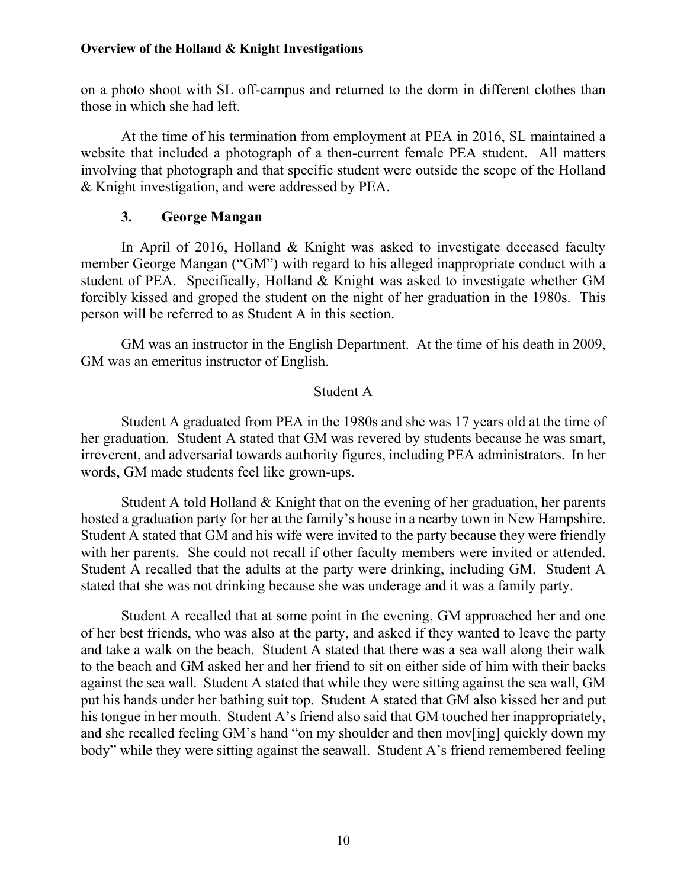on a photo shoot with SL off-campus and returned to the dorm in different clothes than those in which she had left.

At the time of his termination from employment at PEA in 2016, SL maintained a website that included a photograph of a then-current female PEA student. All matters involving that photograph and that specific student were outside the scope of the Holland & Knight investigation, and were addressed by PEA.

## **3. George Mangan**

 In April of 2016, Holland & Knight was asked to investigate deceased faculty member George Mangan ("GM") with regard to his alleged inappropriate conduct with a student of PEA. Specifically, Holland & Knight was asked to investigate whether GM forcibly kissed and groped the student on the night of her graduation in the 1980s. This person will be referred to as Student A in this section.

 GM was an instructor in the English Department. At the time of his death in 2009, GM was an emeritus instructor of English.

## Student A

Student A graduated from PEA in the 1980s and she was 17 years old at the time of her graduation. Student A stated that GM was revered by students because he was smart, irreverent, and adversarial towards authority figures, including PEA administrators. In her words, GM made students feel like grown-ups.

Student A told Holland & Knight that on the evening of her graduation, her parents hosted a graduation party for her at the family's house in a nearby town in New Hampshire. Student A stated that GM and his wife were invited to the party because they were friendly with her parents. She could not recall if other faculty members were invited or attended. Student A recalled that the adults at the party were drinking, including GM. Student A stated that she was not drinking because she was underage and it was a family party.

Student A recalled that at some point in the evening, GM approached her and one of her best friends, who was also at the party, and asked if they wanted to leave the party and take a walk on the beach. Student A stated that there was a sea wall along their walk to the beach and GM asked her and her friend to sit on either side of him with their backs against the sea wall. Student A stated that while they were sitting against the sea wall, GM put his hands under her bathing suit top. Student A stated that GM also kissed her and put his tongue in her mouth. Student A's friend also said that GM touched her inappropriately, and she recalled feeling GM's hand "on my shoulder and then mov[ing] quickly down my body" while they were sitting against the seawall. Student A's friend remembered feeling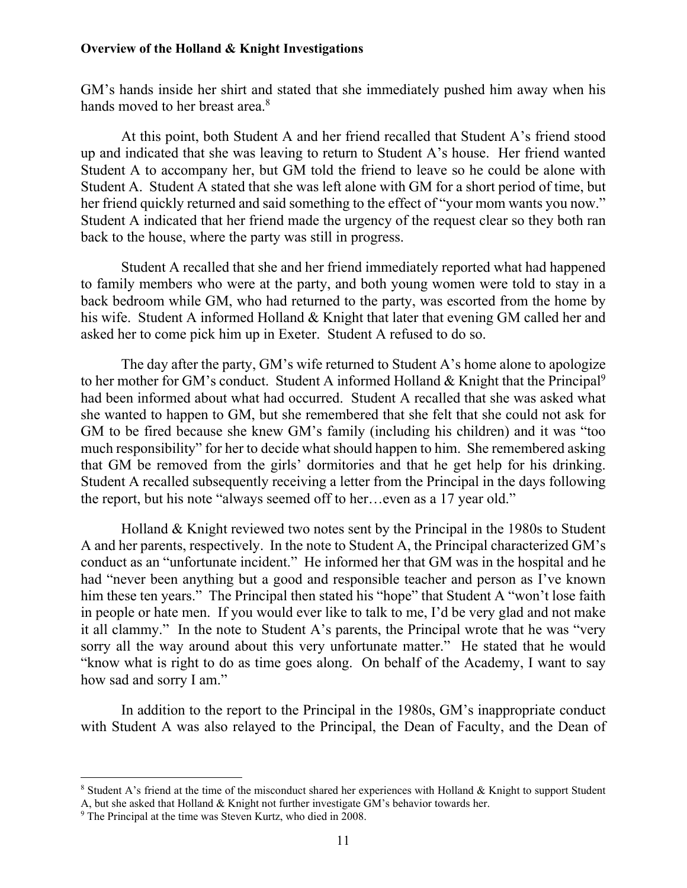GM's hands inside her shirt and stated that she immediately pushed him away when his hands moved to her breast area.<sup>8</sup>

At this point, both Student A and her friend recalled that Student A's friend stood up and indicated that she was leaving to return to Student A's house. Her friend wanted Student A to accompany her, but GM told the friend to leave so he could be alone with Student A. Student A stated that she was left alone with GM for a short period of time, but her friend quickly returned and said something to the effect of "your mom wants you now." Student A indicated that her friend made the urgency of the request clear so they both ran back to the house, where the party was still in progress.

Student A recalled that she and her friend immediately reported what had happened to family members who were at the party, and both young women were told to stay in a back bedroom while GM, who had returned to the party, was escorted from the home by his wife. Student A informed Holland & Knight that later that evening GM called her and asked her to come pick him up in Exeter. Student A refused to do so.

The day after the party, GM's wife returned to Student A's home alone to apologize to her mother for GM's conduct. Student A informed Holland  $&$  Knight that the Principal<sup>9</sup> had been informed about what had occurred. Student A recalled that she was asked what she wanted to happen to GM, but she remembered that she felt that she could not ask for GM to be fired because she knew GM's family (including his children) and it was "too much responsibility" for her to decide what should happen to him. She remembered asking that GM be removed from the girls' dormitories and that he get help for his drinking. Student A recalled subsequently receiving a letter from the Principal in the days following the report, but his note "always seemed off to her…even as a 17 year old."

Holland & Knight reviewed two notes sent by the Principal in the 1980s to Student A and her parents, respectively. In the note to Student A, the Principal characterized GM's conduct as an "unfortunate incident." He informed her that GM was in the hospital and he had "never been anything but a good and responsible teacher and person as I've known him these ten years." The Principal then stated his "hope" that Student A "won't lose faith in people or hate men. If you would ever like to talk to me, I'd be very glad and not make it all clammy." In the note to Student A's parents, the Principal wrote that he was "very sorry all the way around about this very unfortunate matter." He stated that he would "know what is right to do as time goes along. On behalf of the Academy, I want to say how sad and sorry I am."

In addition to the report to the Principal in the 1980s, GM's inappropriate conduct with Student A was also relayed to the Principal, the Dean of Faculty, and the Dean of

<sup>&</sup>lt;sup>8</sup> Student A's friend at the time of the misconduct shared her experiences with Holland & Knight to support Student A, but she asked that Holland & Knight not further investigate GM's behavior towards her.

<sup>9</sup> The Principal at the time was Steven Kurtz, who died in 2008.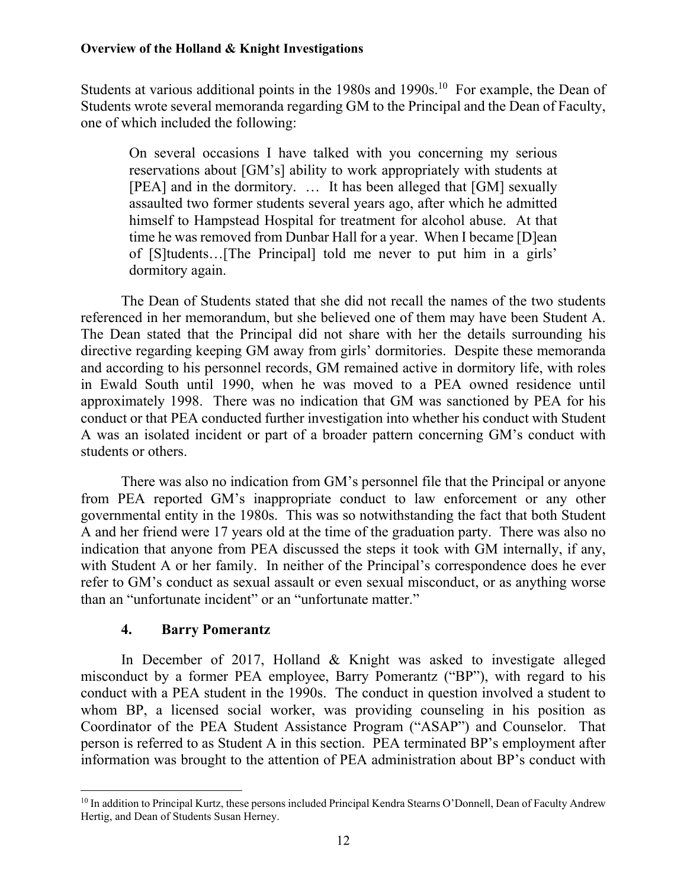Students at various additional points in the 1980s and 1990s.<sup>10</sup> For example, the Dean of Students wrote several memoranda regarding GM to the Principal and the Dean of Faculty, one of which included the following:

On several occasions I have talked with you concerning my serious reservations about [GM's] ability to work appropriately with students at [PEA] and in the dormitory. … It has been alleged that [GM] sexually assaulted two former students several years ago, after which he admitted himself to Hampstead Hospital for treatment for alcohol abuse. At that time he was removed from Dunbar Hall for a year. When I became [D]ean of [S]tudents…[The Principal] told me never to put him in a girls' dormitory again.

The Dean of Students stated that she did not recall the names of the two students referenced in her memorandum, but she believed one of them may have been Student A. The Dean stated that the Principal did not share with her the details surrounding his directive regarding keeping GM away from girls' dormitories. Despite these memoranda and according to his personnel records, GM remained active in dormitory life, with roles in Ewald South until 1990, when he was moved to a PEA owned residence until approximately 1998. There was no indication that GM was sanctioned by PEA for his conduct or that PEA conducted further investigation into whether his conduct with Student A was an isolated incident or part of a broader pattern concerning GM's conduct with students or others.

There was also no indication from GM's personnel file that the Principal or anyone from PEA reported GM's inappropriate conduct to law enforcement or any other governmental entity in the 1980s. This was so notwithstanding the fact that both Student A and her friend were 17 years old at the time of the graduation party. There was also no indication that anyone from PEA discussed the steps it took with GM internally, if any, with Student A or her family. In neither of the Principal's correspondence does he ever refer to GM's conduct as sexual assault or even sexual misconduct, or as anything worse than an "unfortunate incident" or an "unfortunate matter."

## **4. Barry Pomerantz**

 $\overline{a}$ 

In December of 2017, Holland & Knight was asked to investigate alleged misconduct by a former PEA employee, Barry Pomerantz ("BP"), with regard to his conduct with a PEA student in the 1990s. The conduct in question involved a student to whom BP, a licensed social worker, was providing counseling in his position as Coordinator of the PEA Student Assistance Program ("ASAP") and Counselor. That person is referred to as Student A in this section. PEA terminated BP's employment after information was brought to the attention of PEA administration about BP's conduct with

<sup>&</sup>lt;sup>10</sup> In addition to Principal Kurtz, these persons included Principal Kendra Stearns O'Donnell, Dean of Faculty Andrew Hertig, and Dean of Students Susan Herney.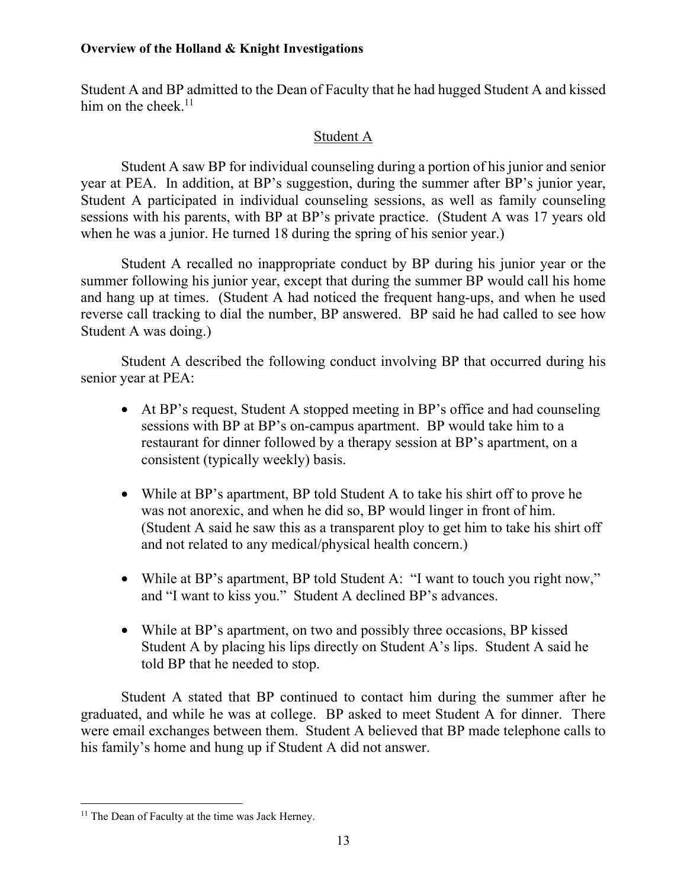Student A and BP admitted to the Dean of Faculty that he had hugged Student A and kissed him on the cheek.<sup>11</sup>

## Student A

Student A saw BP for individual counseling during a portion of his junior and senior year at PEA. In addition, at BP's suggestion, during the summer after BP's junior year, Student A participated in individual counseling sessions, as well as family counseling sessions with his parents, with BP at BP's private practice. (Student A was 17 years old when he was a junior. He turned 18 during the spring of his senior year.)

Student A recalled no inappropriate conduct by BP during his junior year or the summer following his junior year, except that during the summer BP would call his home and hang up at times. (Student A had noticed the frequent hang-ups, and when he used reverse call tracking to dial the number, BP answered. BP said he had called to see how Student A was doing.)

Student A described the following conduct involving BP that occurred during his senior year at PEA:

- At BP's request, Student A stopped meeting in BP's office and had counseling sessions with BP at BP's on-campus apartment. BP would take him to a restaurant for dinner followed by a therapy session at BP's apartment, on a consistent (typically weekly) basis.
- While at BP's apartment, BP told Student A to take his shirt off to prove he was not anorexic, and when he did so, BP would linger in front of him. (Student A said he saw this as a transparent ploy to get him to take his shirt off and not related to any medical/physical health concern.)
- While at BP's apartment, BP told Student A: "I want to touch you right now," and "I want to kiss you." Student A declined BP's advances.
- While at BP's apartment, on two and possibly three occasions, BP kissed Student A by placing his lips directly on Student A's lips. Student A said he told BP that he needed to stop.

Student A stated that BP continued to contact him during the summer after he graduated, and while he was at college. BP asked to meet Student A for dinner. There were email exchanges between them. Student A believed that BP made telephone calls to his family's home and hung up if Student A did not answer.

 $\overline{a}$ <sup>11</sup> The Dean of Faculty at the time was Jack Herney.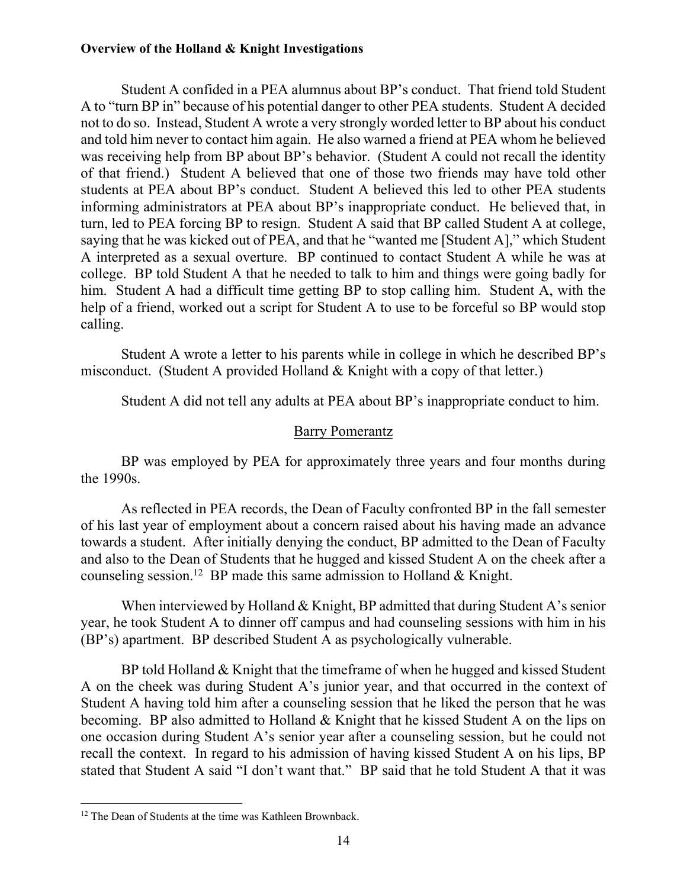Student A confided in a PEA alumnus about BP's conduct. That friend told Student A to "turn BP in" because of his potential danger to other PEA students. Student A decided not to do so. Instead, Student A wrote a very strongly worded letter to BP about his conduct and told him never to contact him again. He also warned a friend at PEA whom he believed was receiving help from BP about BP's behavior. (Student A could not recall the identity of that friend.) Student A believed that one of those two friends may have told other students at PEA about BP's conduct. Student A believed this led to other PEA students informing administrators at PEA about BP's inappropriate conduct. He believed that, in turn, led to PEA forcing BP to resign. Student A said that BP called Student A at college, saying that he was kicked out of PEA, and that he "wanted me [Student A]," which Student A interpreted as a sexual overture. BP continued to contact Student A while he was at college. BP told Student A that he needed to talk to him and things were going badly for him. Student A had a difficult time getting BP to stop calling him. Student A, with the help of a friend, worked out a script for Student A to use to be forceful so BP would stop calling.

Student A wrote a letter to his parents while in college in which he described BP's misconduct. (Student A provided Holland & Knight with a copy of that letter.)

Student A did not tell any adults at PEA about BP's inappropriate conduct to him.

## Barry Pomerantz

BP was employed by PEA for approximately three years and four months during the 1990s.

As reflected in PEA records, the Dean of Faculty confronted BP in the fall semester of his last year of employment about a concern raised about his having made an advance towards a student. After initially denying the conduct, BP admitted to the Dean of Faculty and also to the Dean of Students that he hugged and kissed Student A on the cheek after a counseling session.<sup>12</sup> BP made this same admission to Holland & Knight.

When interviewed by Holland  $&$  Knight, BP admitted that during Student A's senior year, he took Student A to dinner off campus and had counseling sessions with him in his (BP's) apartment. BP described Student A as psychologically vulnerable.

BP told Holland & Knight that the timeframe of when he hugged and kissed Student A on the cheek was during Student A's junior year, and that occurred in the context of Student A having told him after a counseling session that he liked the person that he was becoming. BP also admitted to Holland & Knight that he kissed Student A on the lips on one occasion during Student A's senior year after a counseling session, but he could not recall the context. In regard to his admission of having kissed Student A on his lips, BP stated that Student A said "I don't want that." BP said that he told Student A that it was

 $\overline{a}$ <sup>12</sup> The Dean of Students at the time was Kathleen Brownback.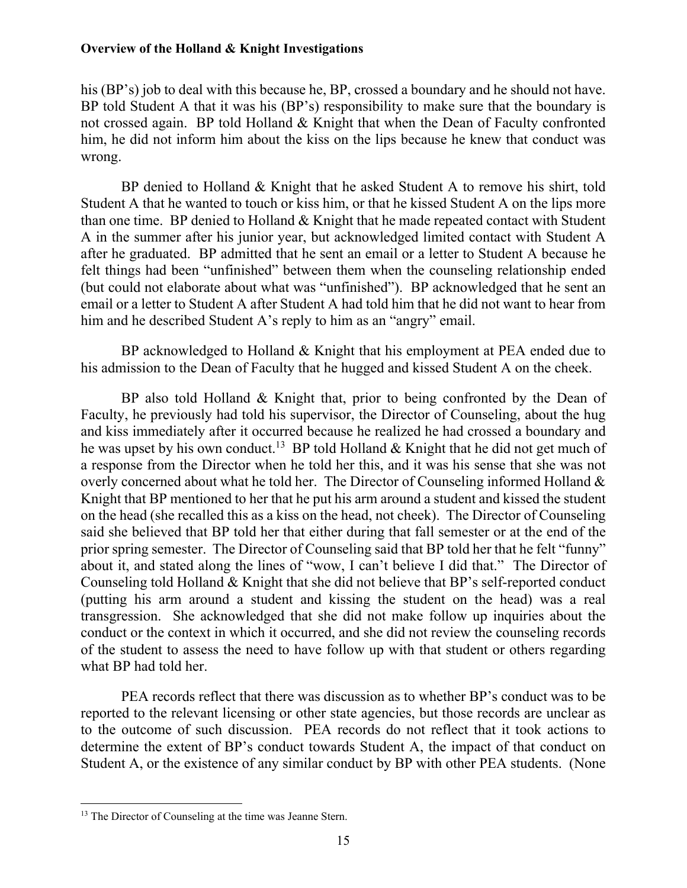his (BP's) job to deal with this because he, BP, crossed a boundary and he should not have. BP told Student A that it was his (BP's) responsibility to make sure that the boundary is not crossed again. BP told Holland & Knight that when the Dean of Faculty confronted him, he did not inform him about the kiss on the lips because he knew that conduct was wrong.

BP denied to Holland & Knight that he asked Student A to remove his shirt, told Student A that he wanted to touch or kiss him, or that he kissed Student A on the lips more than one time. BP denied to Holland & Knight that he made repeated contact with Student A in the summer after his junior year, but acknowledged limited contact with Student A after he graduated. BP admitted that he sent an email or a letter to Student A because he felt things had been "unfinished" between them when the counseling relationship ended (but could not elaborate about what was "unfinished"). BP acknowledged that he sent an email or a letter to Student A after Student A had told him that he did not want to hear from him and he described Student A's reply to him as an "angry" email.

BP acknowledged to Holland & Knight that his employment at PEA ended due to his admission to the Dean of Faculty that he hugged and kissed Student A on the cheek.

BP also told Holland & Knight that, prior to being confronted by the Dean of Faculty, he previously had told his supervisor, the Director of Counseling, about the hug and kiss immediately after it occurred because he realized he had crossed a boundary and he was upset by his own conduct.<sup>13</sup> BP told Holland & Knight that he did not get much of a response from the Director when he told her this, and it was his sense that she was not overly concerned about what he told her. The Director of Counseling informed Holland & Knight that BP mentioned to her that he put his arm around a student and kissed the student on the head (she recalled this as a kiss on the head, not cheek). The Director of Counseling said she believed that BP told her that either during that fall semester or at the end of the prior spring semester. The Director of Counseling said that BP told her that he felt "funny" about it, and stated along the lines of "wow, I can't believe I did that." The Director of Counseling told Holland & Knight that she did not believe that BP's self-reported conduct (putting his arm around a student and kissing the student on the head) was a real transgression. She acknowledged that she did not make follow up inquiries about the conduct or the context in which it occurred, and she did not review the counseling records of the student to assess the need to have follow up with that student or others regarding what BP had told her.

PEA records reflect that there was discussion as to whether BP's conduct was to be reported to the relevant licensing or other state agencies, but those records are unclear as to the outcome of such discussion. PEA records do not reflect that it took actions to determine the extent of BP's conduct towards Student A, the impact of that conduct on Student A, or the existence of any similar conduct by BP with other PEA students. (None

<sup>&</sup>lt;sup>13</sup> The Director of Counseling at the time was Jeanne Stern.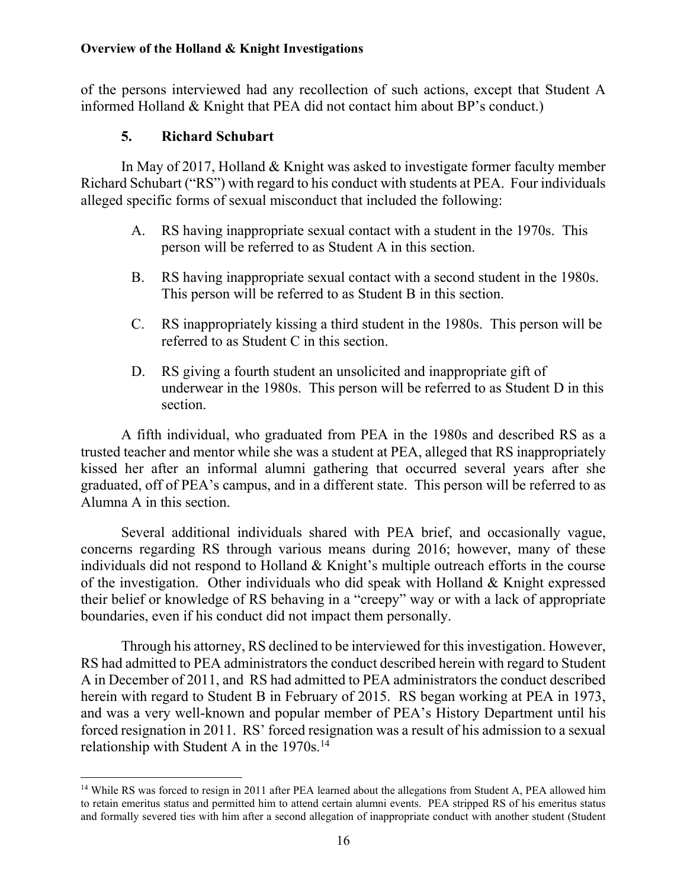of the persons interviewed had any recollection of such actions, except that Student A informed Holland & Knight that PEA did not contact him about BP's conduct.)

## **5. Richard Schubart**

 $\overline{a}$ 

In May of 2017, Holland & Knight was asked to investigate former faculty member Richard Schubart ("RS") with regard to his conduct with students at PEA. Four individuals alleged specific forms of sexual misconduct that included the following:

- A. RS having inappropriate sexual contact with a student in the 1970s. This person will be referred to as Student A in this section.
- B. RS having inappropriate sexual contact with a second student in the 1980s. This person will be referred to as Student B in this section.
- C. RS inappropriately kissing a third student in the 1980s. This person will be referred to as Student C in this section.
- D. RS giving a fourth student an unsolicited and inappropriate gift of underwear in the 1980s. This person will be referred to as Student D in this section.

A fifth individual, who graduated from PEA in the 1980s and described RS as a trusted teacher and mentor while she was a student at PEA, alleged that RS inappropriately kissed her after an informal alumni gathering that occurred several years after she graduated, off of PEA's campus, and in a different state. This person will be referred to as Alumna A in this section.

Several additional individuals shared with PEA brief, and occasionally vague, concerns regarding RS through various means during 2016; however, many of these individuals did not respond to Holland & Knight's multiple outreach efforts in the course of the investigation. Other individuals who did speak with Holland & Knight expressed their belief or knowledge of RS behaving in a "creepy" way or with a lack of appropriate boundaries, even if his conduct did not impact them personally.

Through his attorney, RS declined to be interviewed for this investigation. However, RS had admitted to PEA administrators the conduct described herein with regard to Student A in December of 2011, and RS had admitted to PEA administrators the conduct described herein with regard to Student B in February of 2015. RS began working at PEA in 1973, and was a very well-known and popular member of PEA's History Department until his forced resignation in 2011. RS' forced resignation was a result of his admission to a sexual relationship with Student A in the 1970s.<sup>14</sup>

<sup>&</sup>lt;sup>14</sup> While RS was forced to resign in 2011 after PEA learned about the allegations from Student A, PEA allowed him to retain emeritus status and permitted him to attend certain alumni events. PEA stripped RS of his emeritus status and formally severed ties with him after a second allegation of inappropriate conduct with another student (Student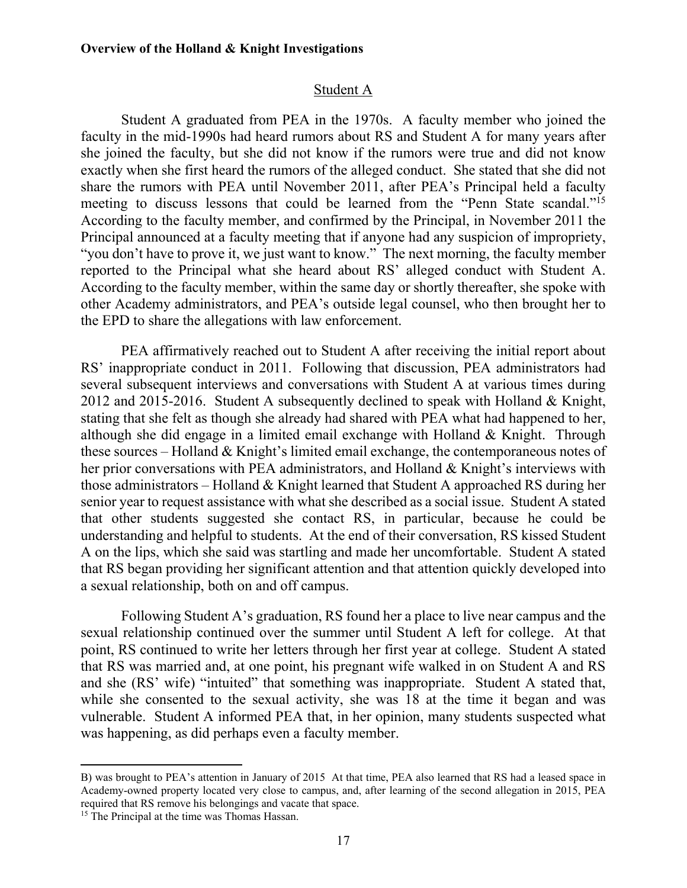#### Student A

Student A graduated from PEA in the 1970s. A faculty member who joined the faculty in the mid-1990s had heard rumors about RS and Student A for many years after she joined the faculty, but she did not know if the rumors were true and did not know exactly when she first heard the rumors of the alleged conduct. She stated that she did not share the rumors with PEA until November 2011, after PEA's Principal held a faculty meeting to discuss lessons that could be learned from the "Penn State scandal."<sup>15</sup> According to the faculty member, and confirmed by the Principal, in November 2011 the Principal announced at a faculty meeting that if anyone had any suspicion of impropriety, "you don't have to prove it, we just want to know." The next morning, the faculty member reported to the Principal what she heard about RS' alleged conduct with Student A. According to the faculty member, within the same day or shortly thereafter, she spoke with other Academy administrators, and PEA's outside legal counsel, who then brought her to the EPD to share the allegations with law enforcement.

PEA affirmatively reached out to Student A after receiving the initial report about RS' inappropriate conduct in 2011. Following that discussion, PEA administrators had several subsequent interviews and conversations with Student A at various times during 2012 and 2015-2016. Student A subsequently declined to speak with Holland & Knight, stating that she felt as though she already had shared with PEA what had happened to her, although she did engage in a limited email exchange with Holland & Knight. Through these sources – Holland & Knight's limited email exchange, the contemporaneous notes of her prior conversations with PEA administrators, and Holland & Knight's interviews with those administrators – Holland & Knight learned that Student A approached RS during her senior year to request assistance with what she described as a social issue. Student A stated that other students suggested she contact RS, in particular, because he could be understanding and helpful to students. At the end of their conversation, RS kissed Student A on the lips, which she said was startling and made her uncomfortable. Student A stated that RS began providing her significant attention and that attention quickly developed into a sexual relationship, both on and off campus.

Following Student A's graduation, RS found her a place to live near campus and the sexual relationship continued over the summer until Student A left for college. At that point, RS continued to write her letters through her first year at college. Student A stated that RS was married and, at one point, his pregnant wife walked in on Student A and RS and she (RS' wife) "intuited" that something was inappropriate. Student A stated that, while she consented to the sexual activity, she was 18 at the time it began and was vulnerable. Student A informed PEA that, in her opinion, many students suspected what was happening, as did perhaps even a faculty member.

B) was brought to PEA's attention in January of 2015 At that time, PEA also learned that RS had a leased space in Academy-owned property located very close to campus, and, after learning of the second allegation in 2015, PEA required that RS remove his belongings and vacate that space.

<sup>&</sup>lt;sup>15</sup> The Principal at the time was Thomas Hassan.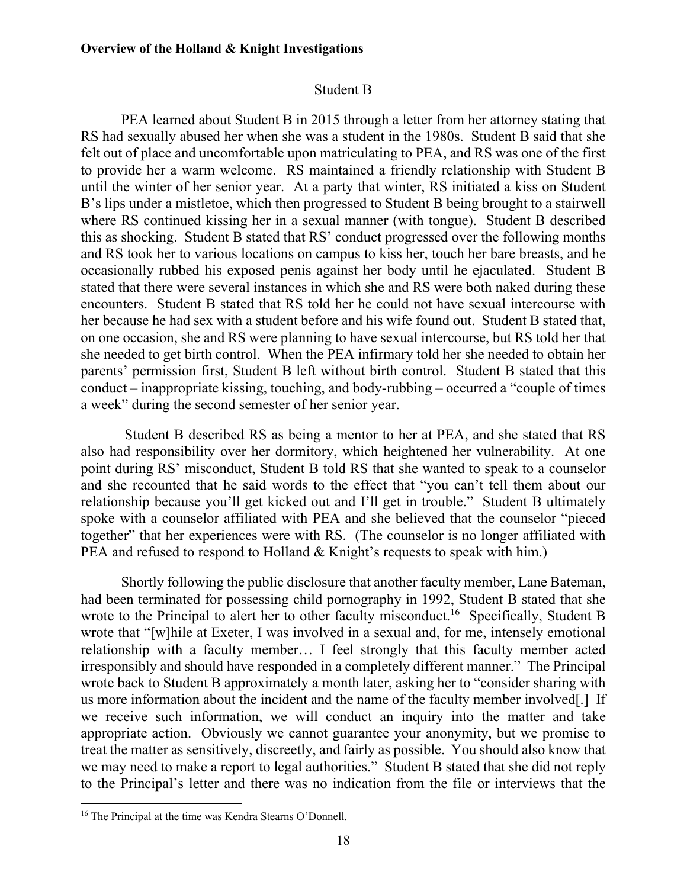### Student B

PEA learned about Student B in 2015 through a letter from her attorney stating that RS had sexually abused her when she was a student in the 1980s. Student B said that she felt out of place and uncomfortable upon matriculating to PEA, and RS was one of the first to provide her a warm welcome. RS maintained a friendly relationship with Student B until the winter of her senior year. At a party that winter, RS initiated a kiss on Student B's lips under a mistletoe, which then progressed to Student B being brought to a stairwell where RS continued kissing her in a sexual manner (with tongue). Student B described this as shocking. Student B stated that RS' conduct progressed over the following months and RS took her to various locations on campus to kiss her, touch her bare breasts, and he occasionally rubbed his exposed penis against her body until he ejaculated. Student B stated that there were several instances in which she and RS were both naked during these encounters. Student B stated that RS told her he could not have sexual intercourse with her because he had sex with a student before and his wife found out. Student B stated that, on one occasion, she and RS were planning to have sexual intercourse, but RS told her that she needed to get birth control. When the PEA infirmary told her she needed to obtain her parents' permission first, Student B left without birth control. Student B stated that this conduct – inappropriate kissing, touching, and body-rubbing – occurred a "couple of times a week" during the second semester of her senior year.

 Student B described RS as being a mentor to her at PEA, and she stated that RS also had responsibility over her dormitory, which heightened her vulnerability. At one point during RS' misconduct, Student B told RS that she wanted to speak to a counselor and she recounted that he said words to the effect that "you can't tell them about our relationship because you'll get kicked out and I'll get in trouble." Student B ultimately spoke with a counselor affiliated with PEA and she believed that the counselor "pieced together" that her experiences were with RS. (The counselor is no longer affiliated with PEA and refused to respond to Holland & Knight's requests to speak with him.)

Shortly following the public disclosure that another faculty member, Lane Bateman, had been terminated for possessing child pornography in 1992, Student B stated that she wrote to the Principal to alert her to other faculty misconduct.<sup>16</sup> Specifically, Student B wrote that "[w]hile at Exeter, I was involved in a sexual and, for me, intensely emotional relationship with a faculty member… I feel strongly that this faculty member acted irresponsibly and should have responded in a completely different manner." The Principal wrote back to Student B approximately a month later, asking her to "consider sharing with us more information about the incident and the name of the faculty member involved[.] If we receive such information, we will conduct an inquiry into the matter and take appropriate action. Obviously we cannot guarantee your anonymity, but we promise to treat the matter as sensitively, discreetly, and fairly as possible. You should also know that we may need to make a report to legal authorities." Student B stated that she did not reply to the Principal's letter and there was no indication from the file or interviews that the

<sup>16</sup> The Principal at the time was Kendra Stearns O'Donnell.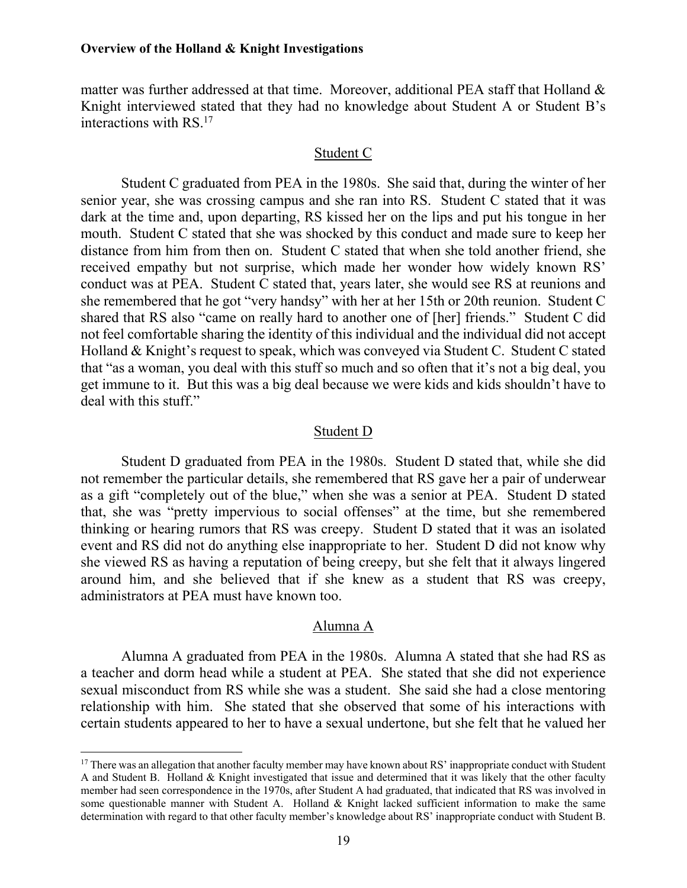matter was further addressed at that time. Moreover, additional PEA staff that Holland & Knight interviewed stated that they had no knowledge about Student A or Student B's interactions with RS.17

#### Student C

Student C graduated from PEA in the 1980s. She said that, during the winter of her senior year, she was crossing campus and she ran into RS. Student C stated that it was dark at the time and, upon departing, RS kissed her on the lips and put his tongue in her mouth. Student C stated that she was shocked by this conduct and made sure to keep her distance from him from then on. Student C stated that when she told another friend, she received empathy but not surprise, which made her wonder how widely known RS' conduct was at PEA. Student C stated that, years later, she would see RS at reunions and she remembered that he got "very handsy" with her at her 15th or 20th reunion. Student C shared that RS also "came on really hard to another one of [her] friends." Student C did not feel comfortable sharing the identity of this individual and the individual did not accept Holland & Knight's request to speak, which was conveyed via Student C. Student C stated that "as a woman, you deal with this stuff so much and so often that it's not a big deal, you get immune to it. But this was a big deal because we were kids and kids shouldn't have to deal with this stuff."

#### Student D

Student D graduated from PEA in the 1980s. Student D stated that, while she did not remember the particular details, she remembered that RS gave her a pair of underwear as a gift "completely out of the blue," when she was a senior at PEA. Student D stated that, she was "pretty impervious to social offenses" at the time, but she remembered thinking or hearing rumors that RS was creepy. Student D stated that it was an isolated event and RS did not do anything else inappropriate to her. Student D did not know why she viewed RS as having a reputation of being creepy, but she felt that it always lingered around him, and she believed that if she knew as a student that RS was creepy, administrators at PEA must have known too.

#### Alumna A

Alumna A graduated from PEA in the 1980s. Alumna A stated that she had RS as a teacher and dorm head while a student at PEA. She stated that she did not experience sexual misconduct from RS while she was a student. She said she had a close mentoring relationship with him. She stated that she observed that some of his interactions with certain students appeared to her to have a sexual undertone, but she felt that he valued her

<sup>&</sup>lt;sup>17</sup> There was an allegation that another faculty member may have known about RS' inappropriate conduct with Student A and Student B. Holland & Knight investigated that issue and determined that it was likely that the other faculty member had seen correspondence in the 1970s, after Student A had graduated, that indicated that RS was involved in some questionable manner with Student A. Holland & Knight lacked sufficient information to make the same determination with regard to that other faculty member's knowledge about RS' inappropriate conduct with Student B.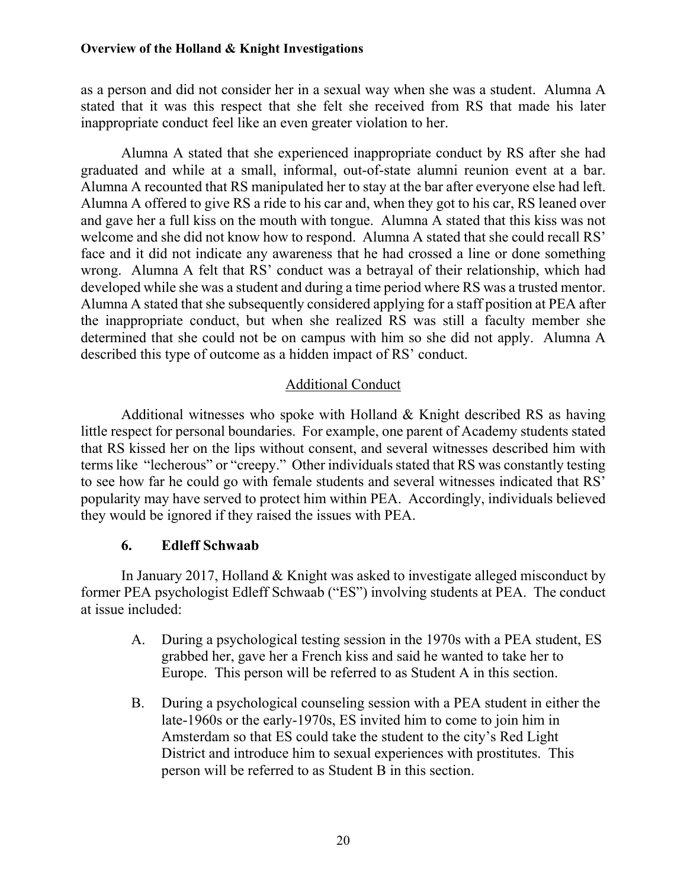as a person and did not consider her in a sexual way when she was a student. Alumna A stated that it was this respect that she felt she received from RS that made his later inappropriate conduct feel like an even greater violation to her.

Alumna A stated that she experienced inappropriate conduct by RS after she had graduated and while at a small, informal, out-of-state alumni reunion event at a bar. Alumna A recounted that RS manipulated her to stay at the bar after everyone else had left. Alumna A offered to give RS a ride to his car and, when they got to his car, RS leaned over and gave her a full kiss on the mouth with tongue. Alumna A stated that this kiss was not welcome and she did not know how to respond. Alumna A stated that she could recall RS' face and it did not indicate any awareness that he had crossed a line or done something wrong. Alumna A felt that RS' conduct was a betrayal of their relationship, which had developed while she was a student and during a time period where RS was a trusted mentor. Alumna A stated that she subsequently considered applying for a staff position at PEA after the inappropriate conduct, but when she realized RS was still a faculty member she determined that she could not be on campus with him so she did not apply. Alumna A described this type of outcome as a hidden impact of RS' conduct.

## Additional Conduct

Additional witnesses who spoke with Holland & Knight described RS as having little respect for personal boundaries. For example, one parent of Academy students stated that RS kissed her on the lips without consent, and several witnesses described him with terms like "lecherous" or "creepy." Other individuals stated that RS was constantly testing to see how far he could go with female students and several witnesses indicated that RS' popularity may have served to protect him within PEA. Accordingly, individuals believed they would be ignored if they raised the issues with PEA.

## **6. Edleff Schwaab**

In January 2017, Holland & Knight was asked to investigate alleged misconduct by former PEA psychologist Edleff Schwaab ("ES") involving students at PEA. The conduct at issue included:

- A. During a psychological testing session in the 1970s with a PEA student, ES grabbed her, gave her a French kiss and said he wanted to take her to Europe. This person will be referred to as Student A in this section.
- B. During a psychological counseling session with a PEA student in either the late-1960s or the early-1970s, ES invited him to come to join him in Amsterdam so that ES could take the student to the city's Red Light District and introduce him to sexual experiences with prostitutes. This person will be referred to as Student B in this section.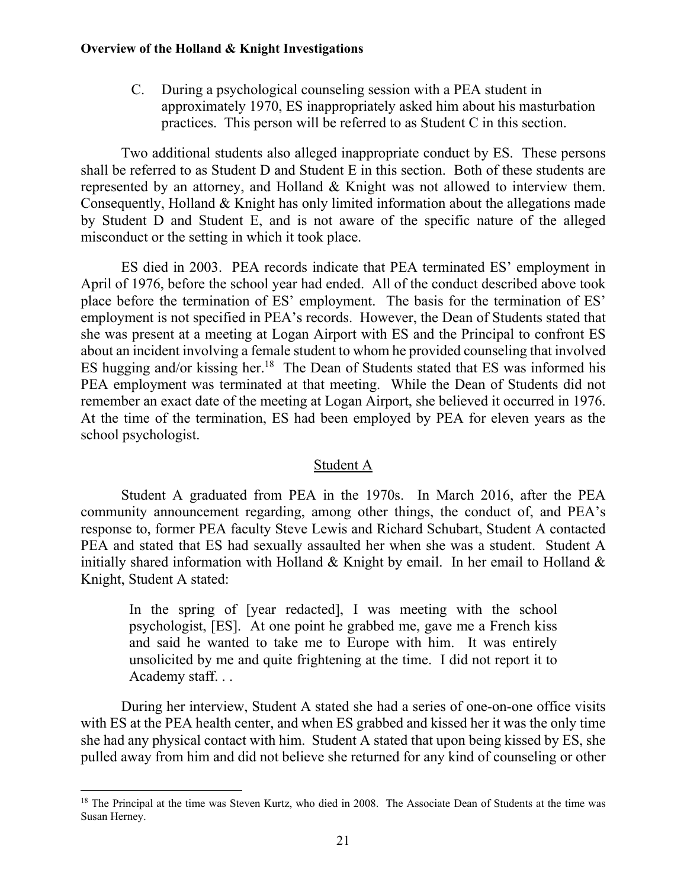C. During a psychological counseling session with a PEA student in approximately 1970, ES inappropriately asked him about his masturbation practices. This person will be referred to as Student C in this section.

Two additional students also alleged inappropriate conduct by ES. These persons shall be referred to as Student D and Student E in this section. Both of these students are represented by an attorney, and Holland & Knight was not allowed to interview them. Consequently, Holland & Knight has only limited information about the allegations made by Student D and Student E, and is not aware of the specific nature of the alleged misconduct or the setting in which it took place.

ES died in 2003. PEA records indicate that PEA terminated ES' employment in April of 1976, before the school year had ended. All of the conduct described above took place before the termination of ES' employment. The basis for the termination of ES' employment is not specified in PEA's records. However, the Dean of Students stated that she was present at a meeting at Logan Airport with ES and the Principal to confront ES about an incident involving a female student to whom he provided counseling that involved ES hugging and/or kissing her.<sup>18</sup> The Dean of Students stated that ES was informed his PEA employment was terminated at that meeting. While the Dean of Students did not remember an exact date of the meeting at Logan Airport, she believed it occurred in 1976. At the time of the termination, ES had been employed by PEA for eleven years as the school psychologist.

## Student A

Student A graduated from PEA in the 1970s. In March 2016, after the PEA community announcement regarding, among other things, the conduct of, and PEA's response to, former PEA faculty Steve Lewis and Richard Schubart, Student A contacted PEA and stated that ES had sexually assaulted her when she was a student. Student A initially shared information with Holland  $\&$  Knight by email. In her email to Holland  $\&$ Knight, Student A stated:

In the spring of [year redacted], I was meeting with the school psychologist, [ES]. At one point he grabbed me, gave me a French kiss and said he wanted to take me to Europe with him. It was entirely unsolicited by me and quite frightening at the time. I did not report it to Academy staff. . .

During her interview, Student A stated she had a series of one-on-one office visits with ES at the PEA health center, and when ES grabbed and kissed her it was the only time she had any physical contact with him. Student A stated that upon being kissed by ES, she pulled away from him and did not believe she returned for any kind of counseling or other

<sup>&</sup>lt;sup>18</sup> The Principal at the time was Steven Kurtz, who died in 2008. The Associate Dean of Students at the time was Susan Herney.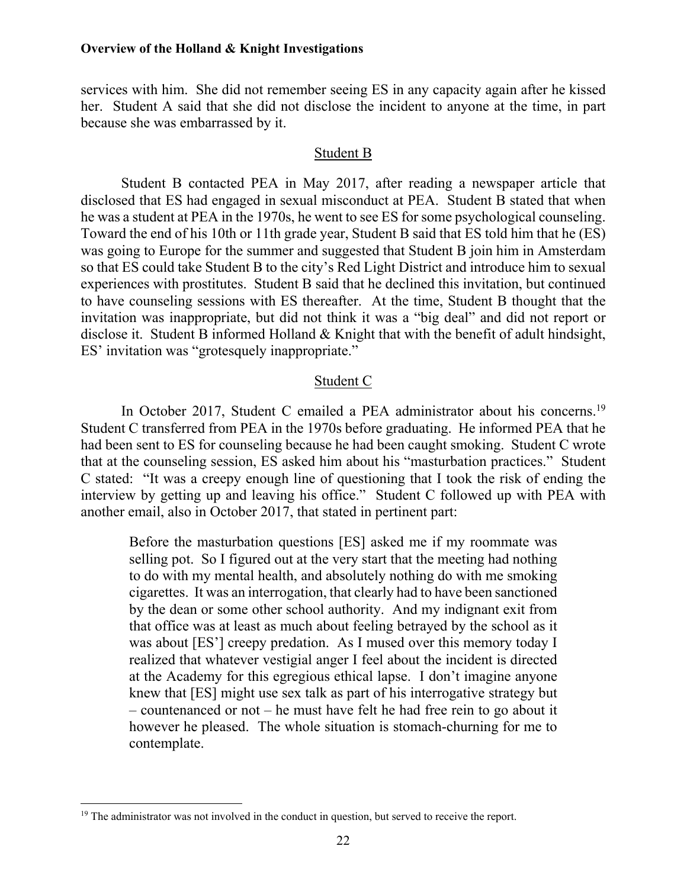services with him. She did not remember seeing ES in any capacity again after he kissed her. Student A said that she did not disclose the incident to anyone at the time, in part because she was embarrassed by it.

#### Student B

Student B contacted PEA in May 2017, after reading a newspaper article that disclosed that ES had engaged in sexual misconduct at PEA. Student B stated that when he was a student at PEA in the 1970s, he went to see ES for some psychological counseling. Toward the end of his 10th or 11th grade year, Student B said that ES told him that he (ES) was going to Europe for the summer and suggested that Student B join him in Amsterdam so that ES could take Student B to the city's Red Light District and introduce him to sexual experiences with prostitutes. Student B said that he declined this invitation, but continued to have counseling sessions with ES thereafter. At the time, Student B thought that the invitation was inappropriate, but did not think it was a "big deal" and did not report or disclose it. Student B informed Holland & Knight that with the benefit of adult hindsight, ES' invitation was "grotesquely inappropriate."

#### Student C

In October 2017, Student C emailed a PEA administrator about his concerns.<sup>19</sup> Student C transferred from PEA in the 1970s before graduating. He informed PEA that he had been sent to ES for counseling because he had been caught smoking. Student C wrote that at the counseling session, ES asked him about his "masturbation practices." Student C stated: "It was a creepy enough line of questioning that I took the risk of ending the interview by getting up and leaving his office." Student C followed up with PEA with another email, also in October 2017, that stated in pertinent part:

Before the masturbation questions [ES] asked me if my roommate was selling pot. So I figured out at the very start that the meeting had nothing to do with my mental health, and absolutely nothing do with me smoking cigarettes. It was an interrogation, that clearly had to have been sanctioned by the dean or some other school authority. And my indignant exit from that office was at least as much about feeling betrayed by the school as it was about [ES'] creepy predation. As I mused over this memory today I realized that whatever vestigial anger I feel about the incident is directed at the Academy for this egregious ethical lapse. I don't imagine anyone knew that [ES] might use sex talk as part of his interrogative strategy but – countenanced or not – he must have felt he had free rein to go about it however he pleased. The whole situation is stomach-churning for me to contemplate.

<sup>&</sup>lt;sup>19</sup> The administrator was not involved in the conduct in question, but served to receive the report.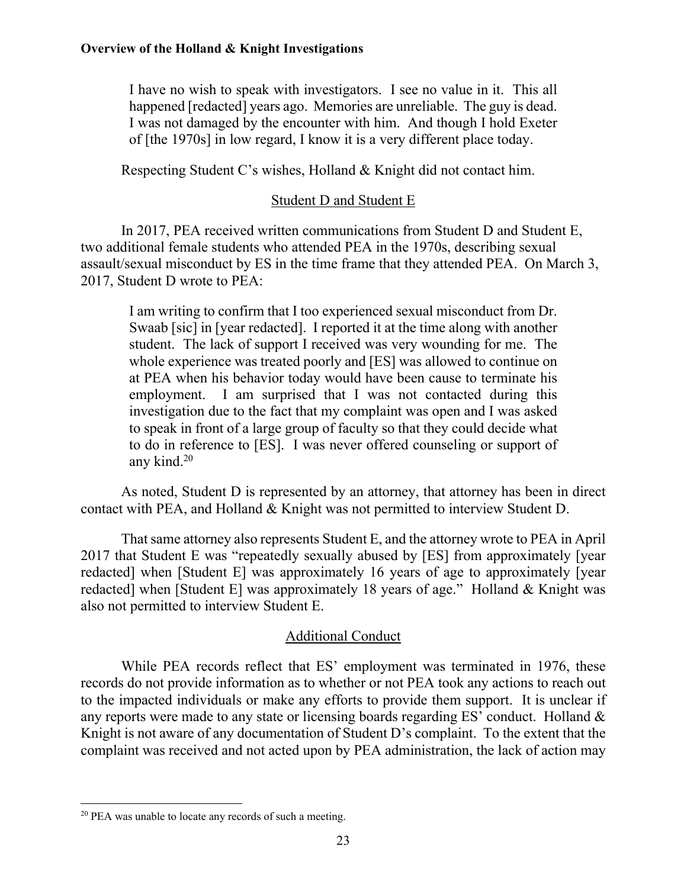I have no wish to speak with investigators. I see no value in it. This all happened [redacted] years ago. Memories are unreliable. The guy is dead. I was not damaged by the encounter with him. And though I hold Exeter of [the 1970s] in low regard, I know it is a very different place today.

Respecting Student C's wishes, Holland & Knight did not contact him.

## Student D and Student E

 In 2017, PEA received written communications from Student D and Student E, two additional female students who attended PEA in the 1970s, describing sexual assault/sexual misconduct by ES in the time frame that they attended PEA. On March 3, 2017, Student D wrote to PEA:

I am writing to confirm that I too experienced sexual misconduct from Dr. Swaab [sic] in [year redacted]. I reported it at the time along with another student. The lack of support I received was very wounding for me. The whole experience was treated poorly and [ES] was allowed to continue on at PEA when his behavior today would have been cause to terminate his employment. I am surprised that I was not contacted during this investigation due to the fact that my complaint was open and I was asked to speak in front of a large group of faculty so that they could decide what to do in reference to [ES]. I was never offered counseling or support of any kind.20

As noted, Student D is represented by an attorney, that attorney has been in direct contact with PEA, and Holland & Knight was not permitted to interview Student D.

That same attorney also represents Student E, and the attorney wrote to PEA in April 2017 that Student E was "repeatedly sexually abused by [ES] from approximately [year redacted] when [Student E] was approximately 16 years of age to approximately [year redacted] when [Student E] was approximately 18 years of age." Holland & Knight was also not permitted to interview Student E.

## Additional Conduct

While PEA records reflect that ES' employment was terminated in 1976, these records do not provide information as to whether or not PEA took any actions to reach out to the impacted individuals or make any efforts to provide them support. It is unclear if any reports were made to any state or licensing boards regarding ES' conduct. Holland & Knight is not aware of any documentation of Student D's complaint. To the extent that the complaint was received and not acted upon by PEA administration, the lack of action may

<sup>20</sup> PEA was unable to locate any records of such a meeting.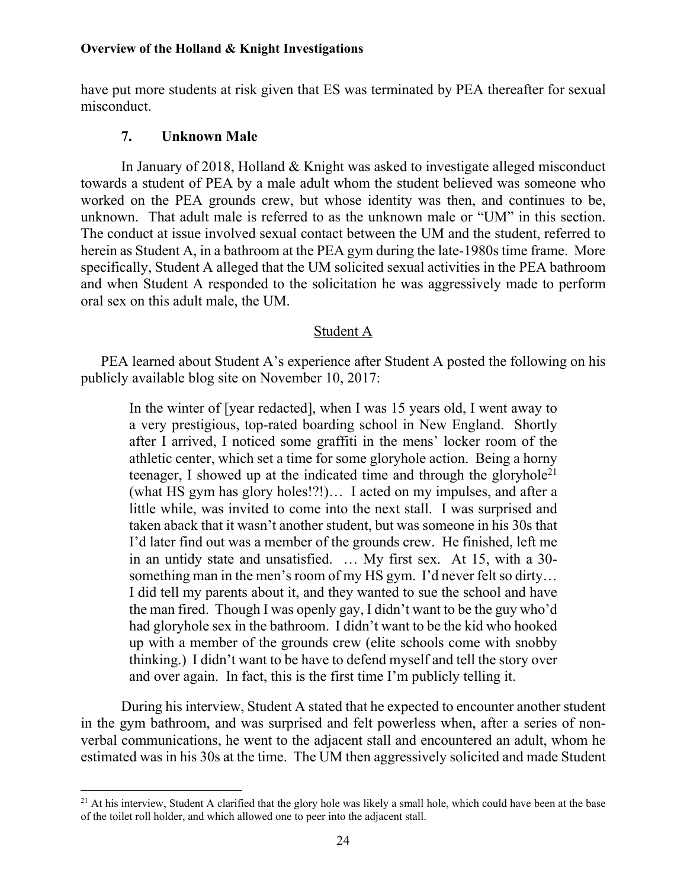have put more students at risk given that ES was terminated by PEA thereafter for sexual misconduct.

## **7. Unknown Male**

 $\overline{a}$ 

 In January of 2018, Holland & Knight was asked to investigate alleged misconduct towards a student of PEA by a male adult whom the student believed was someone who worked on the PEA grounds crew, but whose identity was then, and continues to be, unknown. That adult male is referred to as the unknown male or "UM" in this section. The conduct at issue involved sexual contact between the UM and the student, referred to herein as Student A, in a bathroom at the PEA gym during the late-1980s time frame. More specifically, Student A alleged that the UM solicited sexual activities in the PEA bathroom and when Student A responded to the solicitation he was aggressively made to perform oral sex on this adult male, the UM.

## Student A

PEA learned about Student A's experience after Student A posted the following on his publicly available blog site on November 10, 2017:

In the winter of [year redacted], when I was 15 years old, I went away to a very prestigious, top-rated boarding school in New England. Shortly after I arrived, I noticed some graffiti in the mens' locker room of the athletic center, which set a time for some gloryhole action. Being a horny teenager, I showed up at the indicated time and through the gloryhole<sup>21</sup> (what HS gym has glory holes!?!)… I acted on my impulses, and after a little while, was invited to come into the next stall. I was surprised and taken aback that it wasn't another student, but was someone in his 30s that I'd later find out was a member of the grounds crew. He finished, left me in an untidy state and unsatisfied. … My first sex. At 15, with a 30 something man in the men's room of my HS gym. I'd never felt so dirty… I did tell my parents about it, and they wanted to sue the school and have the man fired. Though I was openly gay, I didn't want to be the guy who'd had gloryhole sex in the bathroom. I didn't want to be the kid who hooked up with a member of the grounds crew (elite schools come with snobby thinking.) I didn't want to be have to defend myself and tell the story over and over again. In fact, this is the first time I'm publicly telling it.

During his interview, Student A stated that he expected to encounter another student in the gym bathroom, and was surprised and felt powerless when, after a series of nonverbal communications, he went to the adjacent stall and encountered an adult, whom he estimated was in his 30s at the time. The UM then aggressively solicited and made Student

<sup>&</sup>lt;sup>21</sup> At his interview, Student A clarified that the glory hole was likely a small hole, which could have been at the base of the toilet roll holder, and which allowed one to peer into the adjacent stall.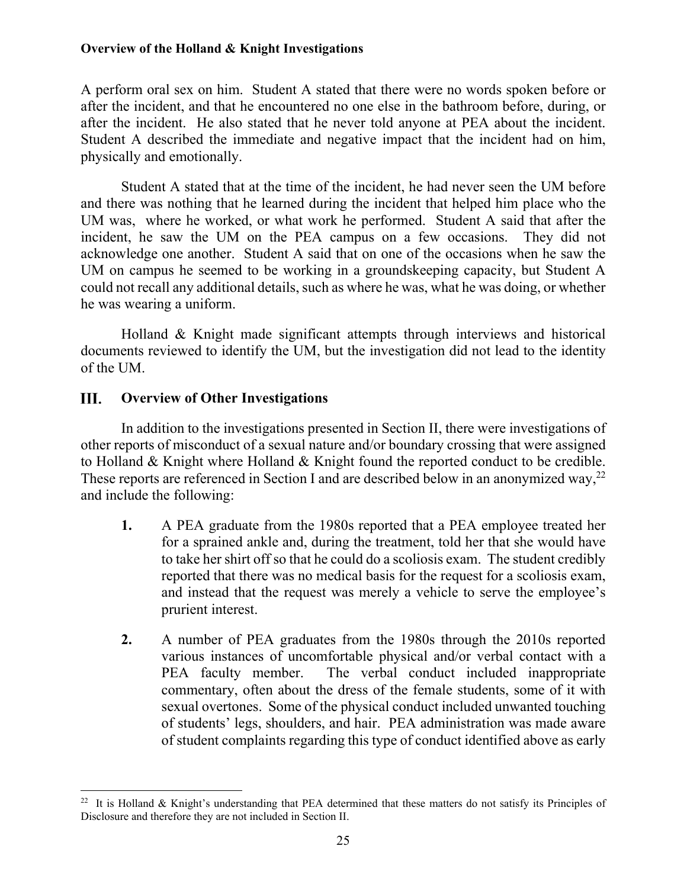A perform oral sex on him. Student A stated that there were no words spoken before or after the incident, and that he encountered no one else in the bathroom before, during, or after the incident. He also stated that he never told anyone at PEA about the incident. Student A described the immediate and negative impact that the incident had on him, physically and emotionally.

Student A stated that at the time of the incident, he had never seen the UM before and there was nothing that he learned during the incident that helped him place who the UM was, where he worked, or what work he performed. Student A said that after the incident, he saw the UM on the PEA campus on a few occasions. They did not acknowledge one another. Student A said that on one of the occasions when he saw the UM on campus he seemed to be working in a groundskeeping capacity, but Student A could not recall any additional details, such as where he was, what he was doing, or whether he was wearing a uniform.

Holland & Knight made significant attempts through interviews and historical documents reviewed to identify the UM, but the investigation did not lead to the identity of the UM.

#### III. **Overview of Other Investigations**

 $\overline{a}$ 

In addition to the investigations presented in Section II, there were investigations of other reports of misconduct of a sexual nature and/or boundary crossing that were assigned to Holland & Knight where Holland & Knight found the reported conduct to be credible. These reports are referenced in Section I and are described below in an anonymized way,<sup>22</sup> and include the following:

- **1.** A PEA graduate from the 1980s reported that a PEA employee treated her for a sprained ankle and, during the treatment, told her that she would have to take her shirt off so that he could do a scoliosis exam. The student credibly reported that there was no medical basis for the request for a scoliosis exam, and instead that the request was merely a vehicle to serve the employee's prurient interest.
- **2.** A number of PEA graduates from the 1980s through the 2010s reported various instances of uncomfortable physical and/or verbal contact with a PEA faculty member. The verbal conduct included inappropriate commentary, often about the dress of the female students, some of it with sexual overtones. Some of the physical conduct included unwanted touching of students' legs, shoulders, and hair. PEA administration was made aware of student complaints regarding this type of conduct identified above as early

<sup>&</sup>lt;sup>22</sup> It is Holland & Knight's understanding that PEA determined that these matters do not satisfy its Principles of Disclosure and therefore they are not included in Section II.